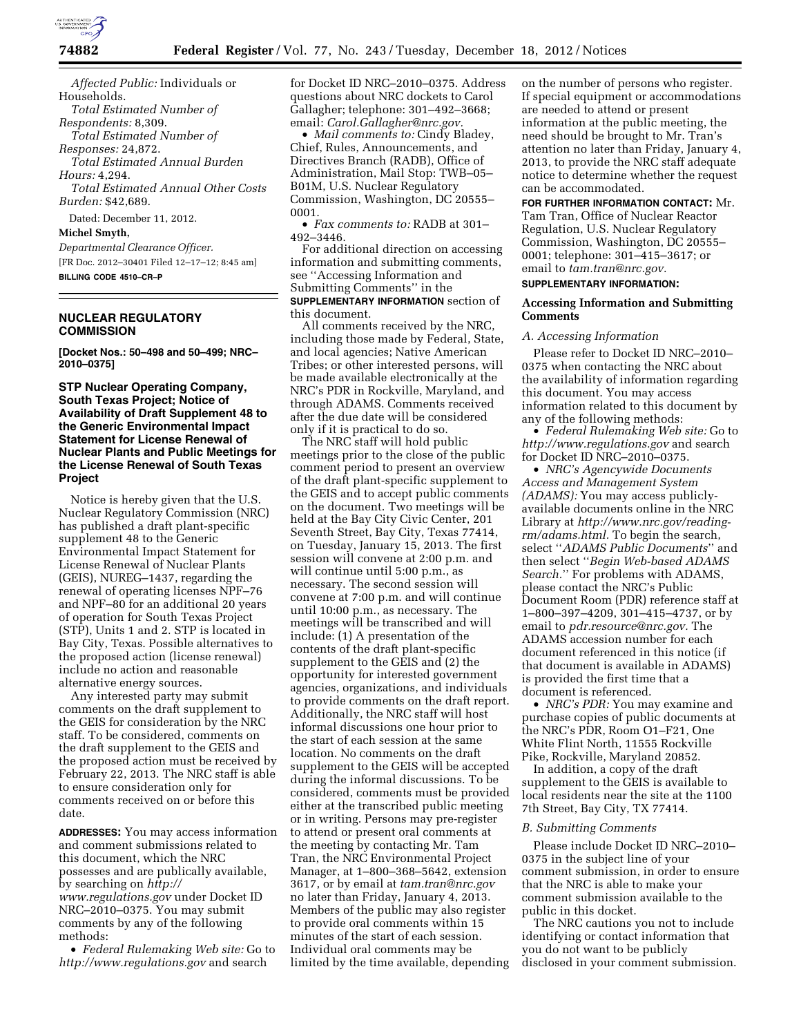

*Affected Public:* Individuals or Households. *Total Estimated Number of Respondents:* 8,309. *Total Estimated Number of Responses:* 24,872. *Total Estimated Annual Burden Hours:* 4,294. *Total Estimated Annual Other Costs Burden:* \$42,689. Dated: December 11, 2012. **Michel Smyth,**  *Departmental Clearance Officer.*  [FR Doc. 2012–30401 Filed 12–17–12; 8:45 am]

**BILLING CODE 4510–CR–P** 

# **NUCLEAR REGULATORY COMMISSION**

**[Docket Nos.: 50–498 and 50–499; NRC– 2010–0375]** 

**STP Nuclear Operating Company, South Texas Project; Notice of Availability of Draft Supplement 48 to the Generic Environmental Impact Statement for License Renewal of Nuclear Plants and Public Meetings for the License Renewal of South Texas Project** 

Notice is hereby given that the U.S. Nuclear Regulatory Commission (NRC) has published a draft plant-specific supplement 48 to the Generic Environmental Impact Statement for License Renewal of Nuclear Plants (GEIS), NUREG–1437, regarding the renewal of operating licenses NPF–76 and NPF–80 for an additional 20 years of operation for South Texas Project (STP), Units 1 and 2. STP is located in Bay City, Texas. Possible alternatives to the proposed action (license renewal) include no action and reasonable alternative energy sources.

Any interested party may submit comments on the draft supplement to the GEIS for consideration by the NRC staff. To be considered, comments on the draft supplement to the GEIS and the proposed action must be received by February 22, 2013. The NRC staff is able to ensure consideration only for comments received on or before this date.

**ADDRESSES:** You may access information and comment submissions related to this document, which the NRC possesses and are publically available, by searching on *[http://](http://www.regulations.gov)  [www.regulations.gov](http://www.regulations.gov)* under Docket ID NRC–2010–0375. You may submit comments by any of the following

methods: • *Federal Rulemaking Web site:* Go to *<http://www.regulations.gov>* and search

for Docket ID NRC–2010–0375. Address questions about NRC dockets to Carol Gallagher; telephone: 301–492–3668; email: *[Carol.Gallagher@nrc.gov.](mailto:Carol.Gallagher@nrc.gov)* 

• *Mail comments to:* Cindy Bladey, Chief, Rules, Announcements, and Directives Branch (RADB), Office of Administration, Mail Stop: TWB–05– B01M, U.S. Nuclear Regulatory Commission, Washington, DC 20555– 0001.

• *Fax comments to:* RADB at 301– 492–3446.

For additional direction on accessing information and submitting comments, see ''Accessing Information and Submitting Comments'' in the **SUPPLEMENTARY INFORMATION** section of this document.

All comments received by the NRC, including those made by Federal, State, and local agencies; Native American Tribes; or other interested persons, will be made available electronically at the NRC's PDR in Rockville, Maryland, and through ADAMS. Comments received after the due date will be considered only if it is practical to do so.

The NRC staff will hold public meetings prior to the close of the public comment period to present an overview of the draft plant-specific supplement to the GEIS and to accept public comments on the document. Two meetings will be held at the Bay City Civic Center, 201 Seventh Street, Bay City, Texas 77414, on Tuesday, January 15, 2013. The first session will convene at 2:00 p.m. and will continue until 5:00 p.m., as necessary. The second session will convene at 7:00 p.m. and will continue until 10:00 p.m., as necessary. The meetings will be transcribed and will include: (1) A presentation of the contents of the draft plant-specific supplement to the GEIS and (2) the opportunity for interested government agencies, organizations, and individuals to provide comments on the draft report. Additionally, the NRC staff will host informal discussions one hour prior to the start of each session at the same location. No comments on the draft supplement to the GEIS will be accepted during the informal discussions. To be considered, comments must be provided either at the transcribed public meeting or in writing. Persons may pre-register to attend or present oral comments at the meeting by contacting Mr. Tam Tran, the NRC Environmental Project Manager, at 1–800–368–5642, extension 3617, or by email at *[tam.tran@nrc.gov](mailto:tam.tran@nrc.gov)*  no later than Friday, January 4, 2013. Members of the public may also register to provide oral comments within 15 minutes of the start of each session. Individual oral comments may be limited by the time available, depending

on the number of persons who register. If special equipment or accommodations are needed to attend or present information at the public meeting, the need should be brought to Mr. Tran's attention no later than Friday, January 4, 2013, to provide the NRC staff adequate notice to determine whether the request can be accommodated.

**FOR FURTHER INFORMATION CONTACT:** Mr. Tam Tran, Office of Nuclear Reactor Regulation, U.S. Nuclear Regulatory Commission, Washington, DC 20555– 0001; telephone: 301–415–3617; or email to *[tam.tran@nrc.gov.](mailto:tam.tran@nrc.gov)*  **SUPPLEMENTARY INFORMATION:** 

## **Accessing Information and Submitting Comments**

#### *A. Accessing Information*

Please refer to Docket ID NRC–2010– 0375 when contacting the NRC about the availability of information regarding this document. You may access information related to this document by any of the following methods:

• *Federal Rulemaking Web site:* Go to *<http://www.regulations.gov>* and search for Docket ID NRC–2010–0375.

• *NRC's Agencywide Documents Access and Management System (ADAMS):* You may access publiclyavailable documents online in the NRC Library at *[http://www.nrc.gov/reading](http://www.nrc.gov/reading-rm/adams.html)[rm/adams.html.](http://www.nrc.gov/reading-rm/adams.html)* To begin the search, select ''*ADAMS Public Documents*'' and then select ''*Begin Web-based ADAMS Search.*'' For problems with ADAMS, please contact the NRC's Public Document Room (PDR) reference staff at 1–800–397–4209, 301–415–4737, or by email to *[pdr.resource@nrc.gov.](mailto:pdr.resource@nrc.gov)* The ADAMS accession number for each document referenced in this notice (if that document is available in ADAMS) is provided the first time that a document is referenced.

• *NRC's PDR:* You may examine and purchase copies of public documents at the NRC's PDR, Room O1–F21, One White Flint North, 11555 Rockville Pike, Rockville, Maryland 20852.

In addition, a copy of the draft supplement to the GEIS is available to local residents near the site at the 1100 7th Street, Bay City, TX 77414.

## *B. Submitting Comments*

Please include Docket ID NRC–2010– 0375 in the subject line of your comment submission, in order to ensure that the NRC is able to make your comment submission available to the public in this docket.

The NRC cautions you not to include identifying or contact information that you do not want to be publicly disclosed in your comment submission.